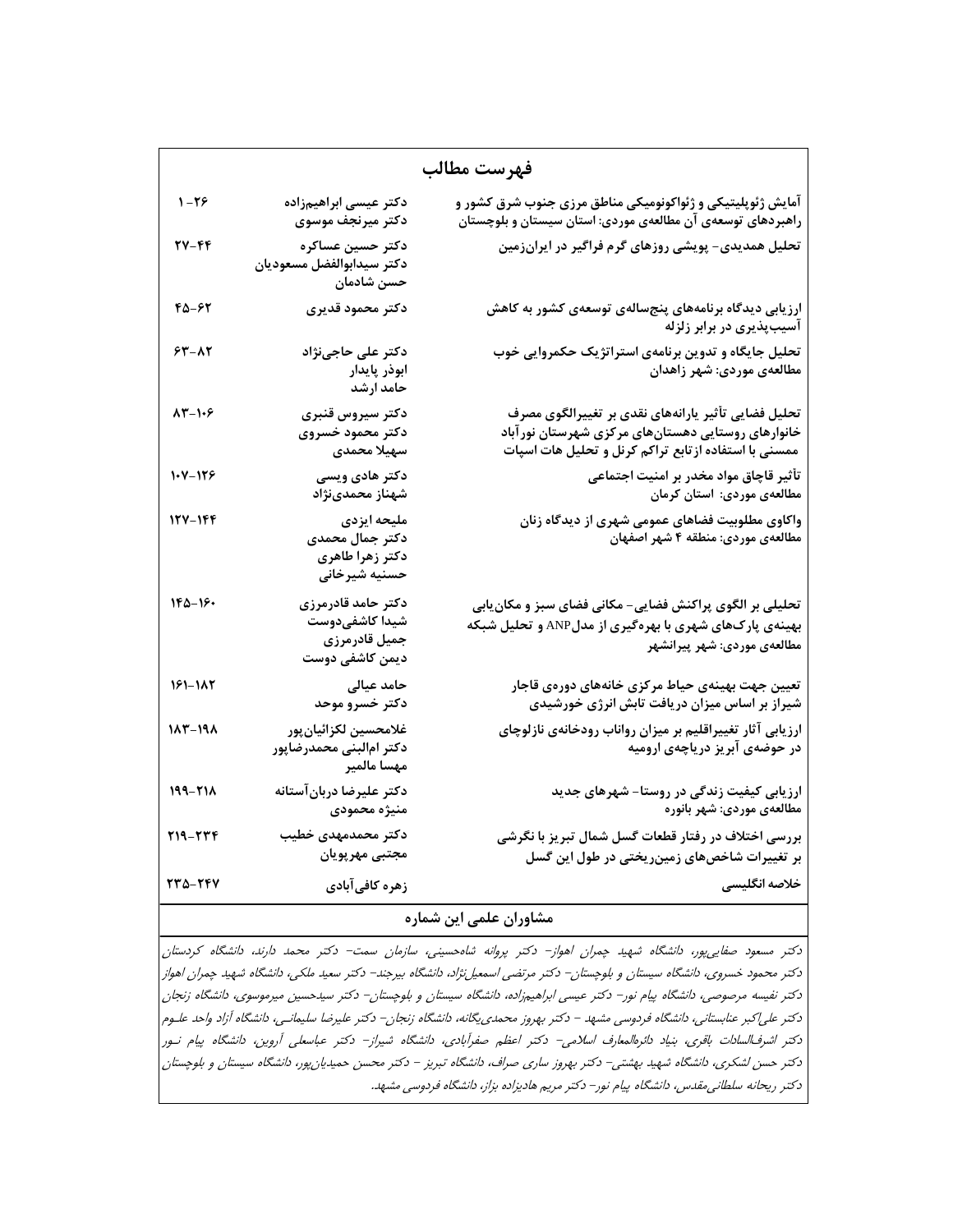| فهرست مطالب |                                                                          |                                                                                                                                                                   |  |  |
|-------------|--------------------------------------------------------------------------|-------------------------------------------------------------------------------------------------------------------------------------------------------------------|--|--|
| 1-26        | دكتر عيسى ابراهيمزاده<br>دكتر ميرنجف موسوى                               | آمایش ژئوپلیتیکی و ژئواکونومیکی مناطق مرزی جنوب شرق کشور و<br>راهبردهای توسعهی آن مطالعهی موردی: استان سیستان و بلوچستان                                          |  |  |
| 27-44       | دكتر حسين عساكره<br>دكتر سيدابوالفضل مسعوديان<br>حسن شادمان              | تحلیل همدیدی- پویشی روزهای گرم فراگیر در ایرانزمین                                                                                                                |  |  |
| 45-67       | دكتر محمود قديرى                                                         | ارزیابی دیدگاه برنامههای پنجسالهی توسعهی کشور به کاهش<br>آسیبپذیری در برابر زلزله                                                                                 |  |  |
| $54 - 17$   | دکتر علی حاجینژاد<br>ابوذر پایدار<br>حامد ارشد                           | تحلیل جایگاه و تدوین برنامهی استراتژیک حکمروایی خوب<br>مطالعهی موردی: شهر زاهدان                                                                                  |  |  |
| $AT - 1.9$  | دكتر سيروس قنبرى<br>دكتر محمود خسروى<br>سهيلا محمدى                      | تحلیل فضایی تأثیر یارانههای نقدی بر تغییرالگوی مصرف<br>خانوارهای روستایی دهستانهای مرکزی شهرستان نور آباد<br>ممسنی با استفاده ازتابع تراکم کرنل و تحلیل هات اسپات |  |  |
| $1 - 119$   | دکتر هادی ویسی<br>شهناز محمدىنژاد                                        | تأثير قاچاق مواد مخدر بر امنيت اجتماعي<br>مطالعهی موردی: استان کرمان                                                                                              |  |  |
| 127-166     | مليحه ايزدى<br>دکتر جمال محمدی<br>دكتر زهرا طاهرى<br>حسنيه شيرخاني       | واکاوی مطلوبیت فضاهای عمومی شهری از دیدگاه زنان<br>مطالعهی موردی: منطقه ۴ شهر اصفهان                                                                              |  |  |
| $180 - 19$  | دكتر حامد قادرمرزى<br>شيدا كاشفىدوست<br>جميل قادرمرزى<br>دیمن کاشفی دوست | تحلیلی بر الگوی پراکنش فضایی- مکانی فضای سبز و مکان ِابی<br>بهینهی پارکهای شهری با بهرهگیری از مدلANP و تحلیل شبکه<br>مطالعهی موردی: شهر پیرانشهر                 |  |  |
| 161-182     | حامد عیالی<br>دكتر خسرو موحد                                             | تعیین جهت بهینهی حیاط مرکزی خانههای دورهی قاجار<br>شیراز بر اساس میزان دریافت تابش انرژی خورشیدی                                                                  |  |  |
| $117 - 191$ | غلامحسين لكزائيان بور<br>دكتر امالبنى محمدرضاپور<br>مهسا مالمير          | ارزیابی آثار تغییراقلیم بر میزان رواناب رودخانهی نازلوچای<br>در حوضهی آبریز دریاچهی ارومیه                                                                        |  |  |
| 199-218     | دكتر عليرضا دربانآستانه<br>منيژه محمودى                                  | ارزیابی کیفیت زندگی در روستا- شهرهای جدید<br>مطالعهى موردى: شهر بانوره                                                                                            |  |  |
| 219-224     | دكتر محمدمهدى خطيب<br>مجتبى مهرپويان                                     | بررسی اختلاف در رفتار قطعات گسل شمال تبریز با نگرشی<br>بر تغییرات شاخصهای زمینریختی در طول این گسل                                                                |  |  |
| 770-747     | زهره كافيآبادي                                                           | خلاصه انگلیسی                                                                                                                                                     |  |  |

## **مشاوران علمي اين شماره**

دكتر مسعود صفاييپور، دانشگاه شهيد چمران اهواز- دكتر پروانه شاهحسيني، سازمان سمت- دكتر محمد دارند، دانشگاه كردستان دكتر محمود خسروي، دانشگاه سيستان <sup>و</sup> بلوچستان- دكتر مرتضي اسمعيلنژاد، دانشگاه بيرجند- دكتر سعيد ملكي، دانشگاه شهيد چمران اهواز دكتر نفيسه مرصوصي، دانشگاه پيام نور- دكتر عيسي ابراهيمزاده، دانشگاه سيستان <sup>و</sup> بلوچستان- دكتر سيدحسين ميرموسوي، دانشگاه زنجان دكتر علياكبر عنابستاني، دانشگاه فردوسي مشهد - دكتر بهروز محمدييگانه، دانشگاه زنجان- دكتر عليرضا سليمانـي، دانشگاه آزاد واحد علـوم دكتر اشرفالسادات باقري، بنياد دائرهالمعارف اسلامي- دكتر اعظم صفرآبادي، دانشگاه شيراز- دكتر عباسعلي آروين، دانشگاه پيام نـور دكتر حسن لشكري، دانشگاه شهيد بهشتي- دكتر بهروز ساري صراف، دانشگاه تبريز - دكتر محسن حميديانپور، دانشگاه سيستان <sup>و</sup> بلوچستان دكتر ريحانه سلطانيمقدس، دانشگاه پيام نور- دكتر مريم هاديزاده بزاز، دانشگاه فردوسي مشهد.